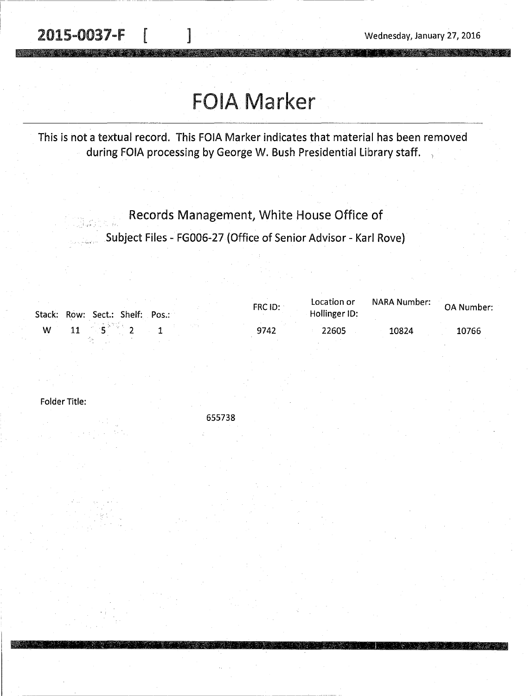2015-0037-F | 1 2015-0037-F | 1 2016

a<br>Alban en l

**A PARTICIPAL PROPERTY OF A PROPERTY** 

## **FOIA Marker**

This is not a textual record. This FOIA Marker indicates that material has been removed during FOIA processing by George W. Bush Presidential Library staff.

Records Management, White House Office of

Subject Files - FG006-27 (Office of Senior Advisor - Karl Rove)

|   | Stack: Row: Sect.: Shelf: Pos.:     |  | FRC ID: | Location or<br>Hollinger ID: | . NARA Number: OA Number |       |
|---|-------------------------------------|--|---------|------------------------------|--------------------------|-------|
| W | <b>11</b> $\mathbf{S}^{\text{W}}$ 2 |  | 9742    | 22605                        | 10824                    | 10766 |

Folder Title:

655738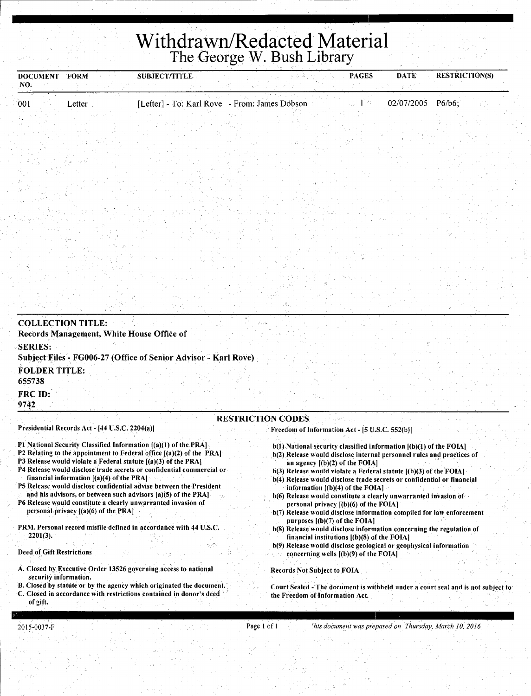## **Withdrawn/Redacted Material**  The George W. Bush Library

| DOCUMENT FORM<br>NO. |        | <b>SUBJECT/TITLE</b> | a pada sa                                     | <b>PAGES</b> | <b>DATE</b> | <b>RESTRICTION(S)</b> |
|----------------------|--------|----------------------|-----------------------------------------------|--------------|-------------|-----------------------|
| 001                  | Letter |                      | [Letter] - To: Karl Rove - From: James Dobson | 手 内に         | 02/07/2005  | $P6/b6$ ;             |
|                      |        |                      |                                               |              |             |                       |

| <b>COLLECTION TITLE:</b><br>Records Management, White House Office of                                                        |  |
|------------------------------------------------------------------------------------------------------------------------------|--|
| <b>SERIES:</b><br>Subject Files - FG006-27 (Office of Senior Advisor - Karl Rove)                                            |  |
| <b>FOLDER TITLE:</b><br>655738                                                                                               |  |
| FRC ID:<br>9742                                                                                                              |  |
| <b>RESTRICTION CODES</b><br>Presidential Records Act - [44 U.S.C. 2204(a)]<br>Freedom of Information Act - [5 U.S.C. 552(b)] |  |

- Pl National Security Classified Information [(a)(l) of the.PRA]
- P2 Relating to the appointment to Federal office [(a)(2) of the PRA]
- P3 Release would violate a Federal statute [(a)(3) of the PRAJ P4 Release would disclose trade secrets or confidential commercial or
- financial information  $[(a)(4)$  of the PRA]
- PS Release would disclose.confidential advise between the President and his advisors, or between such advisors [a)(5) of the PRA]
- P6 Release would constitute a clearly unwarranted invasion of personal privacy [(a)(6) of the PRA]
- PRM. Personal record misfile defined in accordance with 44 U.S.C. 2201(3).
- Deed of Gift Restrictions
- A. Closed by Executive Order 13526 governing access to national security information.
- B. Closed by statute or by the agency which originated the document.
- C. Closed in accordance with restrictions contained in donor's deed of gift.
- b(l) National security classified information [(b)(l) of the FOIA]
- b(2) Release would disclose internal personnel rules and practices of an agency [(b)(2) of the FOIA]
- $b(3)$  Release would violate a Federal statute  $[(b)(3)$  of the FOIA]
- b(4) Release would disclose trade secrets or confidential or financial information  $[(b)(4)$  of the FOIA]
- b(6) Release would constitute a clearly unwarranted invasion of personal privacy  $[(b)(6)$  of the FOIA]
- b(7) Release would disclose information compiled for law enforcement purposes [(b)(7) of the FOIA]
- b(8) Release would disclose information concerning the regulation of financial institutions  $[(b)(8)$  of the FOIA]
- b(9) Release would disclose geological or geophysical information concerning wells  $[(b)(9)$  of the FOIA]

Records Not Subject to FOIA

Court Sealed - The document is withheld under a court seal and is not subject to the Freedom of Information Act.

Page 1 of 1 <sup>*rhis document was prepared on Thursday, March 10, 2016*</sup>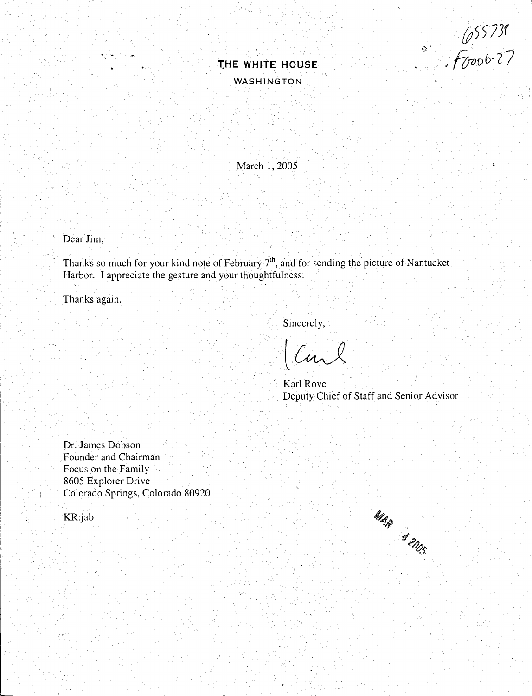[t5573f  $f$ (*pob-*27

 $\circ$ 



March **1,** 2005

Dear **Jim,** 

 $\mathbb{R}$  -  $\sim$ 

Thanks so much for your kind note of February  $7<sup>th</sup>$ , and for sending the picture of Nantucket Harbor. I appreciate the gesture and your thoughtfulness.

Thanks again.

Sincerely,

Carl

Karl Rove Deputy Chief of Staff and Senior Advisor

Dr. James Dobson Founder and Chairman Focus on the Family 8605 Explorer Drive Colorado Springs, Colorado 80920

KR:jab·

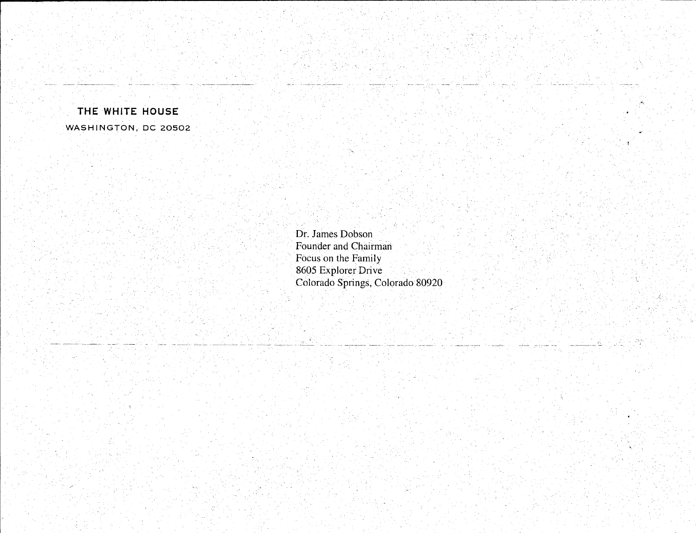## **THE WHITE HOUSE**  WASHINGTON, DC 20502

Dr. James Dobson Founder and Chairman Focus on the Family 8605 Explorer Drive Colorado Springs, Colorado 80920  $\mathcal{A}_k$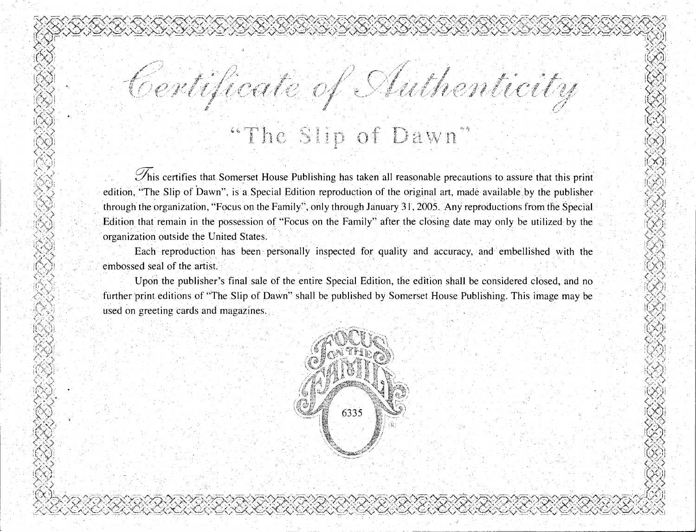## ' ··!)',..1 . . .· . . ILl-VJj ·~ . M **b.人気** しんとうしゃ スペーパース こうせいしょ こうきょうこう こうしょう しょうこうしょう しょうしょう こうしょう こうきょう こうしょう しょうしょくしょく الزكريا  $\sim$   $\sim$ [11] Me^}}}



.  $\rightarrow$ 

 $_{\rm H.}$ 

toja<br>Kol ·"I '

.

 $\mathcal{P}_{\text{his}}$  certifies that Somerset House Publishing has taken all reasonable precautions to assure that this print edition, "The Slip of Dawn", is a Special Edition reproduction of the original art, made available by the publisher through the organization, "Focus on the Family", only through January 31, 2005. Any reproductions from the Special Edition that remain in the possession of "Focus on the Family" after the closing date may only be utilized by the organization outside the United States.

Each reproduction has been personally inspected for quality and accuracy, and embellished with the embossed seal of the artist.

Upon the publisher's final sale of the entire Special Edition, the edition shall be considered closed, and no further print editions of "The Slip of Dawn" shall be published by Somerset House Publishing. This image may be used on greeting cards and magazines.

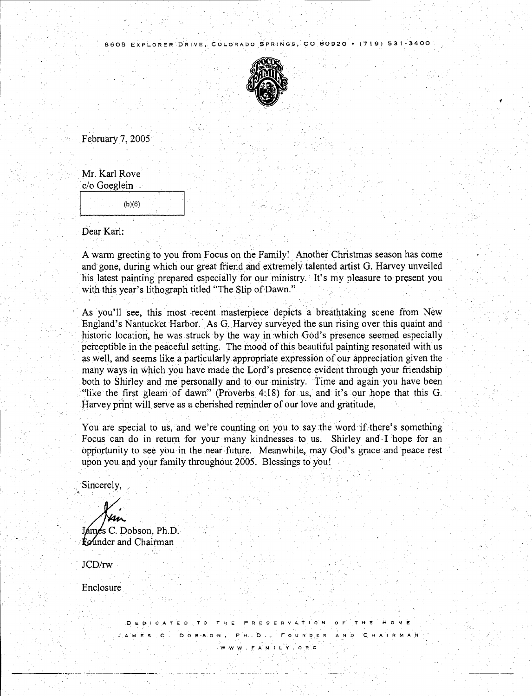

February 7, 2005

| Mr. Karl Rove |  |
|---------------|--|
| c/o Goeglein  |  |

 $(b)(6)$ 

Dear Karl:

A warm greeting to you from Focus on the Family! Another Christma5 season has come and gone, during which *out* great friend and extremely talented artist G. Harvey unveiled his latest painting prepared especially for our ministry. It's my pleasure to present you with this year's lithograph titled "The Slip of Dawn."

As you'll see, this most recent masterpiece depicts a breathtaking scene from New England's Nantucket Harbor. As G. Harvey surveyed the sun rising over this quaint and historic location, he was struck by the way in which God's presence seemed especially perceptible in the peaceful setting. The mood of this beautiful painting resonated with us as well, and seems like a particularly appropriate expression of our appreciation given the many ways in which you have made the Lord's presence evident through your friendship both to Shirley and me personally and to our ministry. Time and again you have been "like the first gleam of dawn" (Proverbs 4:18) for us, and it's our hope that this G. Harvey print will serve as a cherished reminder of our love and gratitude.

You are special to us, and we're counting on you to say the word if there's something. Focus can do in return for your many kindnesses to us. Shirley and I hope for an opportunity to see you in the near future. Meanwhile, may God's grace and peace rest upon you and your family throughout 2005. Blessings to you!

Sincerely,

James C. Dobson, Ph.D.

tounder and Chairman

JCD/rw

------------ -----------------

Enclosure

**DEO·ICATED TO THE PRESERVA.flON OF THE HOME JAMES c. DOB-SON, PH .. D., FouN·r:i .. ER AND C.HAIRMAN www.F.AMILY.ORG**